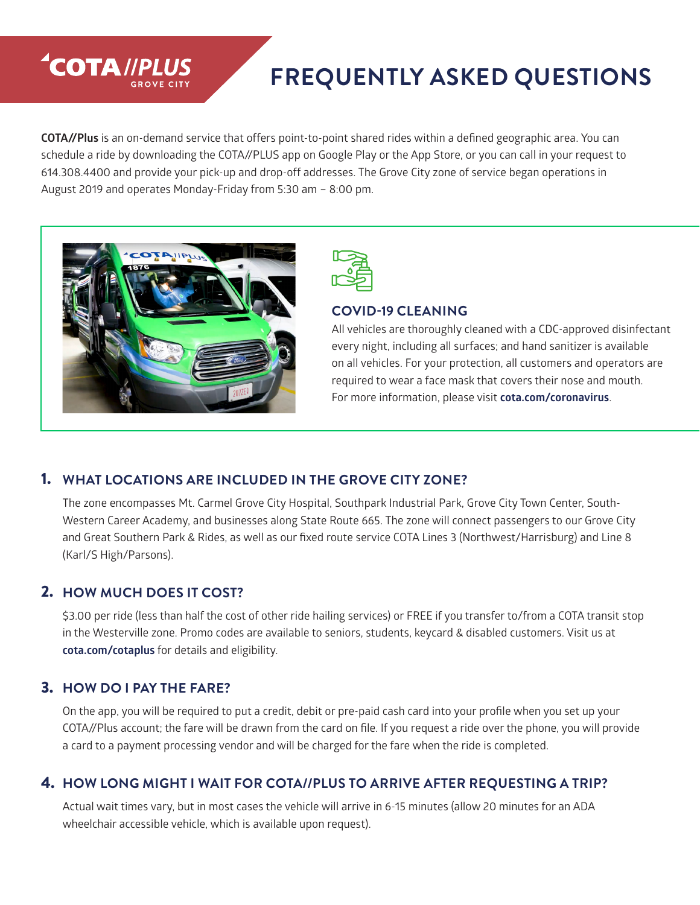# **FREQUENTLY ASKED QUESTIONS**

**COTA//Plus** is an on-demand service that offers point-to-point shared rides within a defined geographic area. You can schedule a ride by downloading the COTA//PLUS app on Google Play or the App Store, or you can call in your request to 614.308.4400 and provide your pick-up and drop-off addresses. The Grove City zone of service began operations in August 2019 and operates Monday-Friday from 5:30 am – 8:00 pm.



**COTA //PLUS** 



#### **COVID-19 CLEANING**

All vehicles are thoroughly cleaned with a CDC-approved disinfectant every night, including all surfaces; and hand sanitizer is available on all vehicles. For your protection, all customers and operators are required to wear a face mask that covers their nose and mouth. For more information, please visit **cota.com/coronavirus**.

#### 1. **WHAT LOCATIONS ARE INCLUDED IN THE GROVE CITY ZONE?**

The zone encompasses Mt. Carmel Grove City Hospital, Southpark Industrial Park, Grove City Town Center, South-Western Career Academy, and businesses along State Route 665. The zone will connect passengers to our Grove City and Great Southern Park & Rides, as well as our fixed route service COTA Lines 3 (Northwest/Harrisburg) and Line 8 (Karl/S High/Parsons).

### 2. **HOW MUCH DOES IT COST?**

\$3.00 per ride (less than half the cost of other ride hailing services) or FREE if you transfer to/from a COTA transit stop in the Westerville zone. Promo codes are available to seniors, students, keycard & disabled customers. Visit us at **cota.com/cotaplus** for details and eligibility.

### 3. **HOW DO I PAY THE FARE?**

On the app, you will be required to put a credit, debit or pre-paid cash card into your profile when you set up your COTA//Plus account; the fare will be drawn from the card on file. If you request a ride over the phone, you will provide a card to a payment processing vendor and will be charged for the fare when the ride is completed.

#### 4. **HOW LONG MIGHT I WAIT FOR COTA//PLUS TO ARRIVE AFTER REQUESTING A TRIP?**

Actual wait times vary, but in most cases the vehicle will arrive in 6-15 minutes (allow 20 minutes for an ADA wheelchair accessible vehicle, which is available upon request).